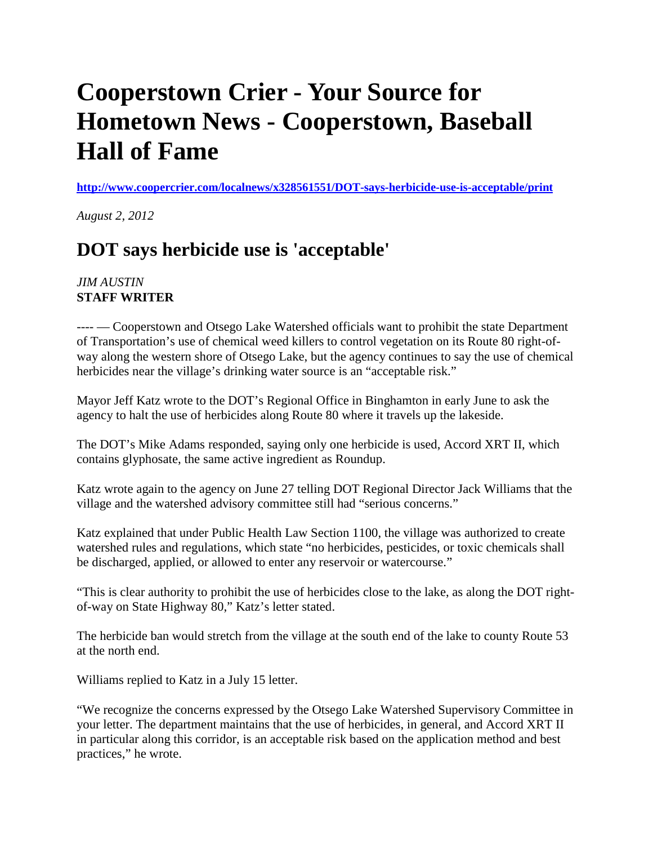## **Cooperstown Crier - Your Source for Hometown News - Cooperstown, Baseball Hall of Fame**

**<http://www.coopercrier.com/localnews/x328561551/DOT-says-herbicide-use-is-acceptable/print>**

*August 2, 2012*

## **DOT says herbicide use is 'acceptable'**

## *JIM AUSTIN* **STAFF WRITER**

---- — Cooperstown and Otsego Lake Watershed officials want to prohibit the state Department of Transportation's use of chemical weed killers to control vegetation on its Route 80 right-ofway along the western shore of Otsego Lake, but the agency continues to say the use of chemical herbicides near the village's drinking water source is an "acceptable risk."

Mayor Jeff Katz wrote to the DOT's Regional Office in Binghamton in early June to ask the agency to halt the use of herbicides along Route 80 where it travels up the lakeside.

The DOT's Mike Adams responded, saying only one herbicide is used, Accord XRT II, which contains glyphosate, the same active ingredient as Roundup.

Katz wrote again to the agency on June 27 telling DOT Regional Director Jack Williams that the village and the watershed advisory committee still had "serious concerns."

Katz explained that under Public Health Law Section 1100, the village was authorized to create watershed rules and regulations, which state "no herbicides, pesticides, or toxic chemicals shall be discharged, applied, or allowed to enter any reservoir or watercourse."

"This is clear authority to prohibit the use of herbicides close to the lake, as along the DOT rightof-way on State Highway 80," Katz's letter stated.

The herbicide ban would stretch from the village at the south end of the lake to county Route 53 at the north end.

Williams replied to Katz in a July 15 letter.

"We recognize the concerns expressed by the Otsego Lake Watershed Supervisory Committee in your letter. The department maintains that the use of herbicides, in general, and Accord XRT II in particular along this corridor, is an acceptable risk based on the application method and best practices," he wrote.